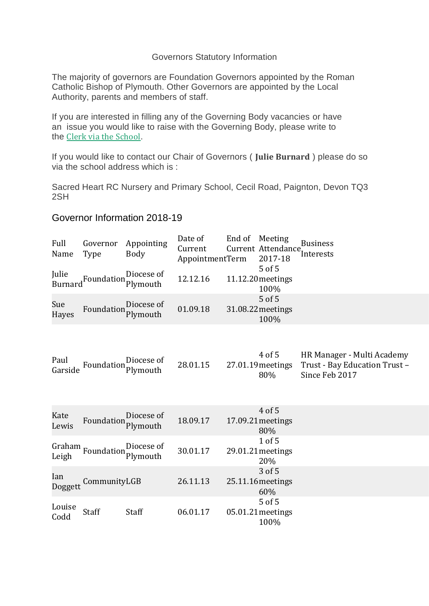## Governors Statutory Information

The majority of governors are Foundation Governors appointed by the Roman Catholic Bishop of Plymouth. Other Governors are appointed by the Local Authority, parents and members of staff.

If you are interested in filling any of the Governing Body vacancies or have an issue you would like to raise with the Governing Body, please write to the Clerk via the [School](http://sacred.heart.gridhosted.co.uk/contact/).

If you would like to contact our Chair of Governors ( **Julie Burnard** ) please do so via the school address which is :

Sacred Heart RC Nursery and Primary School, Cecil Road, Paignton, Devon TQ3 2SH

## Governor Information 2018-19

| Full<br>Name            | Governor<br>Type           | Appointing<br><b>Body</b> | Date of<br>Current<br>AppointmentTerm | End of | Meeting<br>Current Attendance,<br>2017-18<br>5 of 5 | <b>Business</b><br>Interests                                                  |
|-------------------------|----------------------------|---------------------------|---------------------------------------|--------|-----------------------------------------------------|-------------------------------------------------------------------------------|
| Julie<br><b>Burnard</b> | Foundation Plymouth        | Diocese of                | 12.12.16                              |        | 11.12.20 meetings<br>100%                           |                                                                               |
| Sue<br>Hayes            | Foundation                 | Diocese of<br>Plymouth    | 01.09.18                              |        | 5 of 5<br>31.08.22 meetings<br>100%                 |                                                                               |
| Paul<br>Garside         | Foundation Plymouth        | Diocese of                | 28.01.15                              |        | 4 of 5<br>27.01.19 meetings<br>80%                  | HR Manager - Multi Academy<br>Trust - Bay Education Trust -<br>Since Feb 2017 |
| Kate<br>Lewis           | Foundation                 | Diocese of<br>Plymouth    | 18.09.17                              |        | 4 of 5<br>17.09.21 meetings<br>80%                  |                                                                               |
|                         | Graham Foundation Plymouth | Diocese of                | 30.01.17                              |        | 1 of 5<br>29.01.21 meetings<br>20%                  |                                                                               |
| Ian<br>Doggett          | CommunityLGB               |                           | 26.11.13                              |        | 3 of 5<br>25.11.16 meetings<br>60%                  |                                                                               |
| Louise<br>Codd          | Staff                      | Staff                     | 06.01.17                              |        | 5 of 5<br>05.01.21 meetings<br>100%                 |                                                                               |